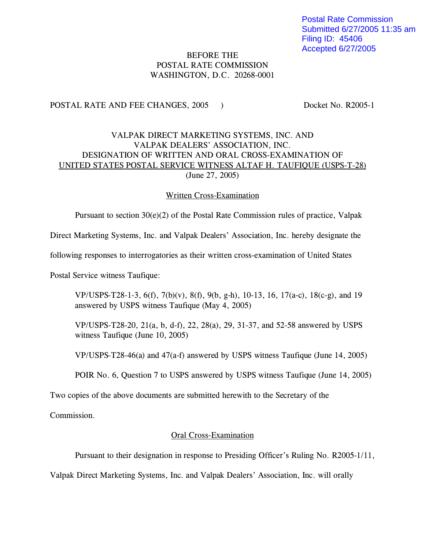Postal Rate Commission Submitted 6/27/2005 11:35 am Filing ID: 45406 Accepted 6/27/2005

## BEFORE THE POSTAL RATE COMMISSION WASHINGTON, D.C. 20268-0001

POSTAL RATE AND FEE CHANGES, 2005 ) Docket No. R2005-1

## VALPAK DIRECT MARKETING SYSTEMS, INC. AND VALPAK DEALERS' ASSOCIATION, INC. DESIGNATION OF WRITTEN AND ORAL CROSS-EXAMINATION OF UNITED STATES POSTAL SERVICE WITNESS ALTAF H. TAUFIQUE (USPS-T-28) (June 27, 2005)

## Written Cross-Examination

Pursuant to section 30(e)(2) of the Postal Rate Commission rules of practice, Valpak

Direct Marketing Systems, Inc. and Valpak Dealers' Association, Inc. hereby designate the

following responses to interrogatories as their written cross-examination of United States

Postal Service witness Taufique:

VP/USPS-T28-1-3, 6(f), 7(b)(v), 8(f), 9(b, g-h), 10-13, 16, 17(a-c), 18(c-g), and 19 answered by USPS witness Taufique (May 4, 2005)

VP/USPS-T28-20, 21(a, b, d-f), 22, 28(a), 29, 31-37, and 52-58 answered by USPS witness Taufique (June 10, 2005)

VP/USPS-T28-46(a) and 47(a-f) answered by USPS witness Taufique (June 14, 2005)

POIR No. 6, Question 7 to USPS answered by USPS witness Taufique (June 14, 2005)

Two copies of the above documents are submitted herewith to the Secretary of the

Commission.

## Oral Cross-Examination

Pursuant to their designation in response to Presiding Officer's Ruling No. R2005-1/11,

Valpak Direct Marketing Systems, Inc. and Valpak Dealers' Association, Inc. will orally